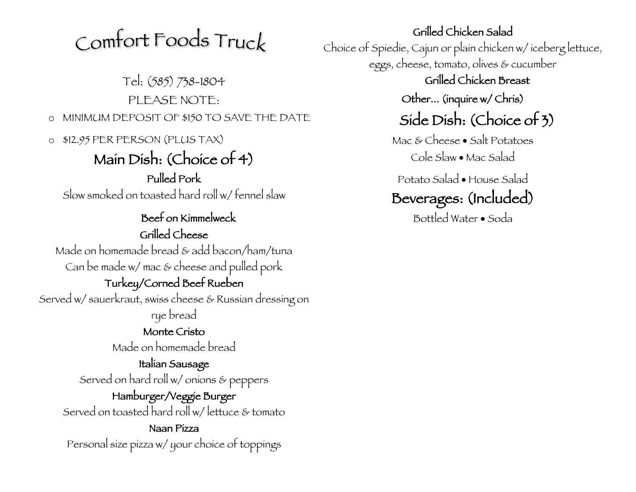# Comfort Foods Truck

Tel: (585) 738-1804 Grilled Chicken Breast PLEASE NOTE: CHEREASE NOTE:  $\circ$  MINIMUM DEPOSIT OF \$150 TO SAVE THE DATE  $Side$  Dish: (Choice of 3)

o \$12.95 PER PERSON (PLUS TAX) Mac & Cheese • Salt Potatoes

### Main Dish: (Choice of 4) Cole Slaw • Mac Salad Pulled Pork

Slow smoked on toasted hard roll w/ fennel slaw

Beef on Kimmelweck Bottled Water • Soda Grilled Cheese Made on homemade bread & add bacon/ham/tuna Can be made w/ mac & cheese and pulled pork Turkey/Corned Beef Rueben Served w/ sauerkraut, swiss cheese & Russian dressing on rye bread Monte Cristo Made on homemade bread Italian Sausage

Served on hard roll w/ onions & peppers

Hamburger/Veggie Burger Served on toasted hard roll w/ lettuce & tomato

Naan Pizza Personal size pizza w/ your choice of toppings Grilled Chicken Salad Choice of Spiedie, Cajun or plain chicken w/ iceberg lettuce, eggs, cheese, tomato, olives & cucumber

Potato Salad • House Salad

### Beverages: (Included)